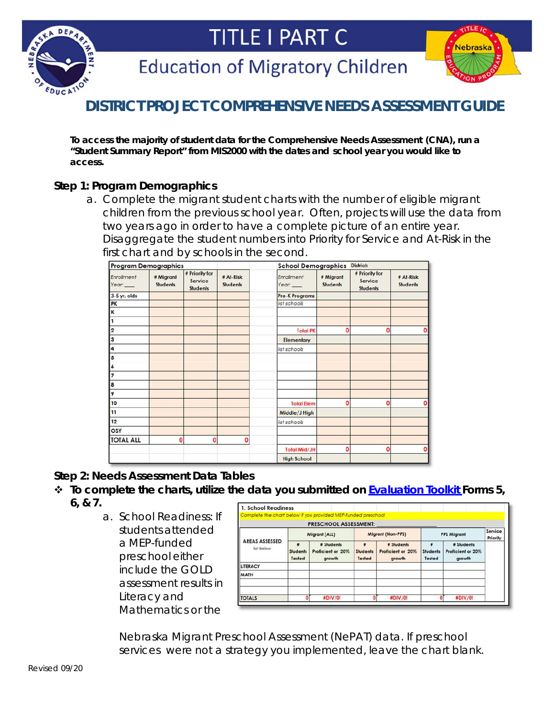



**Education of Migratory Children** 



# **DISTRICT PROJECT COMPREHENSIVE NEEDS ASSESSMENT GUIDE**

*To access the majority of student data for the Comprehensive Needs Assessment (CNA), run a "Student Summary Report" from MIS2000 with the dates and school year you would like to access.*

## **Step 1: Program Demographics**

a. Complete the migrant student charts with the number of eligible migrant children from the previous school year. *Often, projects will use the data from two years ago in order to have a complete picture of an entire year.* Disaggregate the student numbers into Priority for Service and At-Risk in the first chart and by schools in the second.

| <b>Program Demographics</b> |                              |                                              |                              | <b>School Demographics</b> |                              | <b>District:</b>                             |                              |
|-----------------------------|------------------------------|----------------------------------------------|------------------------------|----------------------------|------------------------------|----------------------------------------------|------------------------------|
| Enrollment<br>Year:         | # Migrant<br><b>Students</b> | # Priority for<br>Service<br><b>Students</b> | # At-Risk<br><b>Students</b> | Enrollment<br>Year:        | # Migrant<br><b>Students</b> | # Priority for<br>Service<br><b>Students</b> | # At-Risk<br><b>Students</b> |
| 3-5 yr. olds                |                              |                                              |                              | <b>Pre-K Programs</b>      |                              |                                              |                              |
| PK                          |                              |                                              |                              | list schools               |                              |                                              |                              |
| K                           |                              |                                              |                              |                            |                              |                                              |                              |
| 1                           |                              |                                              |                              |                            |                              |                                              |                              |
| 2                           |                              |                                              |                              | <b>Total PK</b>            | O                            | ٥                                            |                              |
| 3                           |                              |                                              |                              | <b>Elementary</b>          |                              |                                              |                              |
| 4                           |                              |                                              |                              | list schools               |                              |                                              |                              |
| 5                           |                              |                                              |                              |                            |                              |                                              |                              |
| 16                          |                              |                                              |                              |                            |                              |                                              |                              |
| 17                          |                              |                                              |                              |                            |                              |                                              |                              |
| 8                           |                              |                                              |                              |                            |                              |                                              |                              |
| 9                           |                              |                                              |                              |                            |                              |                                              |                              |
| 10                          |                              |                                              |                              | <b>Total Elem</b>          | 0                            | 0                                            | O                            |
| 11                          |                              |                                              |                              | Middle/J High              |                              |                                              |                              |
| 12                          |                              |                                              |                              | list schools               |                              |                                              |                              |
| OSY                         |                              |                                              |                              |                            |                              |                                              |                              |
| <b>TOTAL ALL</b>            | 0                            | $\mathbf 0$                                  | 0                            |                            |                              |                                              |                              |
|                             |                              |                                              |                              | <b>Total Mid/JH</b>        | 0                            | Ō                                            |                              |
|                             |                              |                                              |                              | <b>High School</b>         |                              |                                              |                              |

#### **Step 2: Needs Assessment Data Tables**

- *To complete the charts, utilize the data you submitted on Evaluation Toolkit Forms 5, 6, & 7.*
	- a. School Readiness: If students attended a MEP-funded preschool either include the GOLD assessment results in Literacy and Mathematics or the

|                                     |                                | <b>PRESCHOOL ASSESSMENT:</b>              |                                       |                                           |                         |                                           |                     |
|-------------------------------------|--------------------------------|-------------------------------------------|---------------------------------------|-------------------------------------------|-------------------------|-------------------------------------------|---------------------|
|                                     |                                | Migrant (ALL)                             |                                       | <b>Migrant (Non-PFS)</b>                  |                         | <b>PFS Migrant</b>                        | Service<br>Priority |
| <b>AREAS ASSESSED</b><br>list below | ٠<br><b>Students</b><br>Tested | # Students<br>Proficient or 20%<br>growth | <b>E</b><br><b>Students</b><br>Tested | # Students<br>Proficient or 20%<br>growth | ٠<br>Students<br>Tested | # Students<br>Proficient or 20%<br>growth |                     |
| <b>LITERACY</b>                     |                                |                                           |                                       |                                           |                         |                                           |                     |
| <b>MATH</b>                         |                                |                                           |                                       |                                           |                         |                                           |                     |
| <b>TOTALS</b>                       |                                | #DIV/0!                                   | n                                     | #DIV/0!                                   |                         | #DIV/0!                                   |                     |

Nebraska Migrant Preschool Assessment (NePAT) data. *If preschool services were not a strategy you implemented, leave the chart blank.*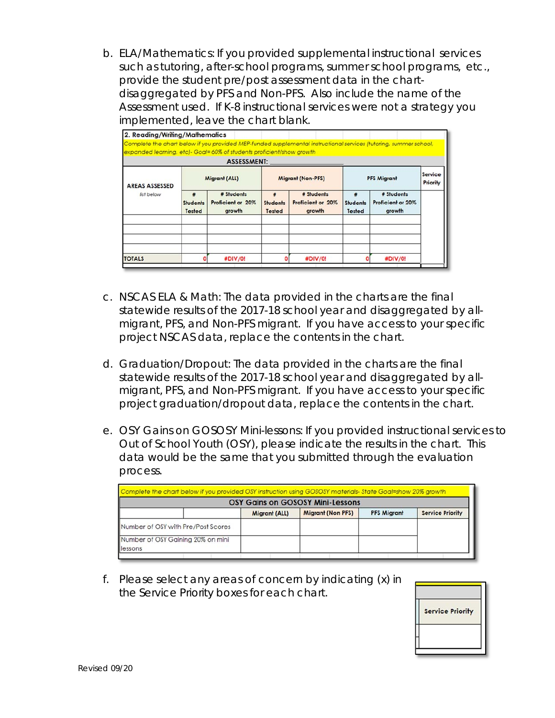b. ELA/Mathematics: If you provided supplemental instructional services such as tutoring, after-school programs, summer school programs, etc., provide the student pre/post assessment data in the chartdisaggregated by PFS and Non-PFS. Also include the name of the Assessment used. *If K-8 instructional services were not a strategy you implemented, leave the chart blank.*

| Complete the chart below if you provided MEP-funded supplemental instructional services (tutoring, summer school,<br>expanded learning, etc)- Goal= 60% of students proficient/show growth |                                       |                                           |                           |                                           |                           |                                           |                     |
|--------------------------------------------------------------------------------------------------------------------------------------------------------------------------------------------|---------------------------------------|-------------------------------------------|---------------------------|-------------------------------------------|---------------------------|-------------------------------------------|---------------------|
|                                                                                                                                                                                            |                                       | <b>ASSESSMENT:</b>                        |                           |                                           |                           |                                           |                     |
| <b>AREAS ASSESSED</b>                                                                                                                                                                      |                                       | Migrant (ALL)                             |                           | <b>Migrant (Non-PFS)</b>                  |                           | <b>PFS Migrant</b>                        | Service<br>Priority |
| list below                                                                                                                                                                                 | 畫<br><b>Students</b><br><b>Tested</b> | # Students<br>Proficient or 20%<br>growth | <b>Students</b><br>Tested | # Students<br>Proficient or 20%<br>growth | <b>Students</b><br>Tested | # Students<br>Proficient or 20%<br>growth |                     |
|                                                                                                                                                                                            |                                       |                                           |                           |                                           |                           |                                           |                     |
| <b>TOTALS</b>                                                                                                                                                                              |                                       | #DIV/0!                                   |                           | #DIV/0!                                   |                           | #DIV/0!                                   |                     |

- c. NSCAS ELA & Math: The data provided in the charts are the final *statewide* results of the 2017-18 school year and disaggregated by allmigrant, PFS, and Non-PFS migrant. If you have access to your specific project NSCAS data, replace the contents in the chart.
- d. Graduation/Dropout: The data provided in the charts are the final *statewide* results of the 2017-18 school year and disaggregated by allmigrant, PFS, and Non-PFS migrant. If you have access to your specific project graduation/dropout data, replace the contents in the chart.
- e. OSY Gains on GOSOSY Mini-lessons: If you provided instructional services to Out of School Youth (OSY), please indicate the results in the chart. *This data would be the same that you submitted through the evaluation process.*

| Complete the chart below if you provided OSY instruction using GOSOSY materials-State Goal=show 20% growth |               | <b>OSY Gains on GOSOSY Mini-Lessons</b> |                    |                         |
|------------------------------------------------------------------------------------------------------------|---------------|-----------------------------------------|--------------------|-------------------------|
|                                                                                                            | Migrant (ALL) | <b>Migrant (Non PFS)</b>                | <b>PFS Migrant</b> | <b>Service Priority</b> |
| Number of OSY with Pre/Post Scores                                                                         |               |                                         |                    |                         |
| Number of OSY Gaining 20% on mini                                                                          |               |                                         |                    |                         |
| lessons                                                                                                    |               |                                         |                    |                         |

f. Please select any areas of concern by indicating (x) in the Service Priority boxes for each chart.

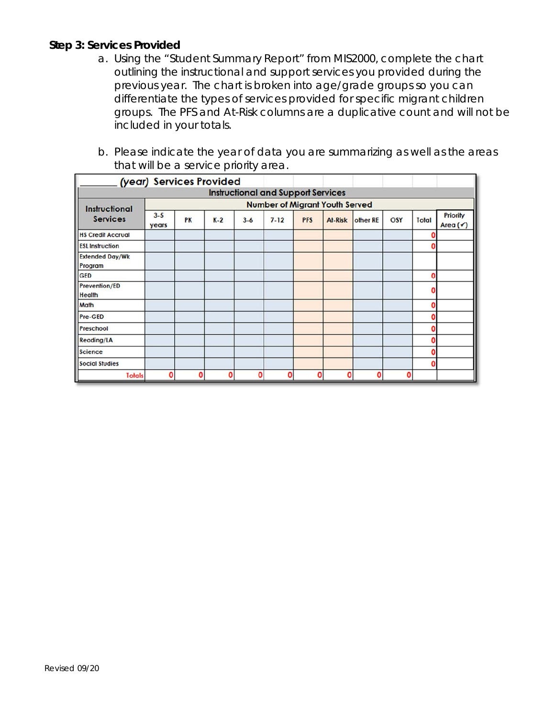#### **Step 3: Services Provided**

- a. Using the "Student Summary Report" from MIS2000, complete the chart outlining the instructional and support services you provided during the previous year. The chart is broken into age/grade groups so you can differentiate the types of services provided for specific migrant children groups. The PFS and At-Risk columns are a duplicative count and will not be included in your totals.
- b. Please indicate the year of data you are summarizing as well as the areas that will be a service priority area.

|                                   | (year) Services Provided |    |       |         |                                           |            |         |          |     |       |                      |
|-----------------------------------|--------------------------|----|-------|---------|-------------------------------------------|------------|---------|----------|-----|-------|----------------------|
|                                   |                          |    |       |         | <b>Instructional and Support Services</b> |            |         |          |     |       |                      |
| <b>Instructional</b>              |                          |    |       |         | <b>Number of Migrant Youth Served</b>     |            |         |          |     |       |                      |
| <b>Services</b>                   | $3 - 5$<br>years         | PK | $K-2$ | $3 - 6$ | $7 - 12$                                  | <b>PFS</b> | At-Risk | other RE | OSY | Total | Priority<br>Area (V) |
| <b>HS Credit Accrual</b>          |                          |    |       |         |                                           |            |         |          |     |       |                      |
| <b>ESL Instruction</b>            |                          |    |       |         |                                           |            |         |          |     | 0     |                      |
| <b>Extended Day/Wk</b><br>Program |                          |    |       |         |                                           |            |         |          |     |       |                      |
| <b>GED</b>                        |                          |    |       |         |                                           |            |         |          |     | ٥     |                      |
| Prevention/ED<br><b>Health</b>    |                          |    |       |         |                                           |            |         |          |     |       |                      |
| Math                              |                          |    |       |         |                                           |            |         |          |     | 0     |                      |
| Pre-GED                           |                          |    |       |         |                                           |            |         |          |     | Ω     |                      |
| Preschool                         |                          |    |       |         |                                           |            |         |          |     | Ω     |                      |
| Reading/LA                        |                          |    |       |         |                                           |            |         |          |     | ٥     |                      |
| <b>Science</b>                    |                          |    |       |         |                                           |            |         |          |     | Ω     |                      |
| <b>Social Studies</b>             |                          |    |       |         |                                           |            |         |          |     | Ω     |                      |
| <b>Totals</b>                     | O                        | Ω  | O     | Ō       | Ω                                         | O          | ŋ       | ٥        | ٥   |       |                      |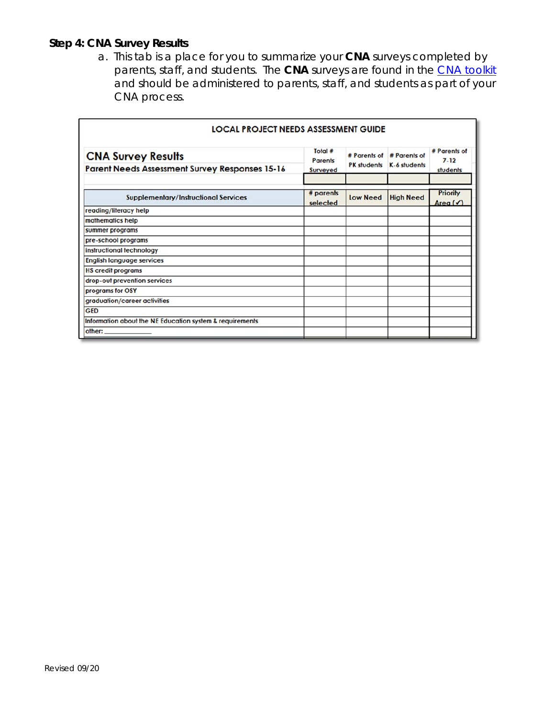# **Step 4: CNA Survey Results**

a. This tab is a place for you to summarize your **CNA** surveys completed by parents, staff, and students. The **CNA** surveys are found in the CNA toolkit and should be administered to parents, staff, and students as part of your CNA process.

| LOCAL PROJECT NEEDS ASSESSMENT GUIDE                                        |                                       |                    |                                           |                                      |  |  |
|-----------------------------------------------------------------------------|---------------------------------------|--------------------|-------------------------------------------|--------------------------------------|--|--|
| <b>CNA Survey Results</b><br>Parent Needs Assessment Survey Responses 15-16 | Total #<br><b>Parents</b><br>Surveyed | <b>PK</b> students | # Parents of # Parents of<br>K-6 students | # Parents of<br>$7 - 12$<br>students |  |  |
| <b>Supplementary/Instructional Services</b>                                 | $#$ parents<br>selected               | <b>Low Need</b>    | <b>High Need</b>                          | Priority<br>Area $($                 |  |  |
| reading/literacy help                                                       |                                       |                    |                                           |                                      |  |  |
| mathematics help                                                            |                                       |                    |                                           |                                      |  |  |
| summer programs                                                             |                                       |                    |                                           |                                      |  |  |
| pre-school programs                                                         |                                       |                    |                                           |                                      |  |  |
| instructional technology                                                    |                                       |                    |                                           |                                      |  |  |
| <b>English language services</b>                                            |                                       |                    |                                           |                                      |  |  |
| <b>HS</b> credit programs                                                   |                                       |                    |                                           |                                      |  |  |
| drop-out prevention services                                                |                                       |                    |                                           |                                      |  |  |
| programs for OSY                                                            |                                       |                    |                                           |                                      |  |  |
| graduation/career activities                                                |                                       |                    |                                           |                                      |  |  |
| <b>GED</b>                                                                  |                                       |                    |                                           |                                      |  |  |
| Information about the NE Education system & requirements                    |                                       |                    |                                           |                                      |  |  |
| other:                                                                      |                                       |                    |                                           |                                      |  |  |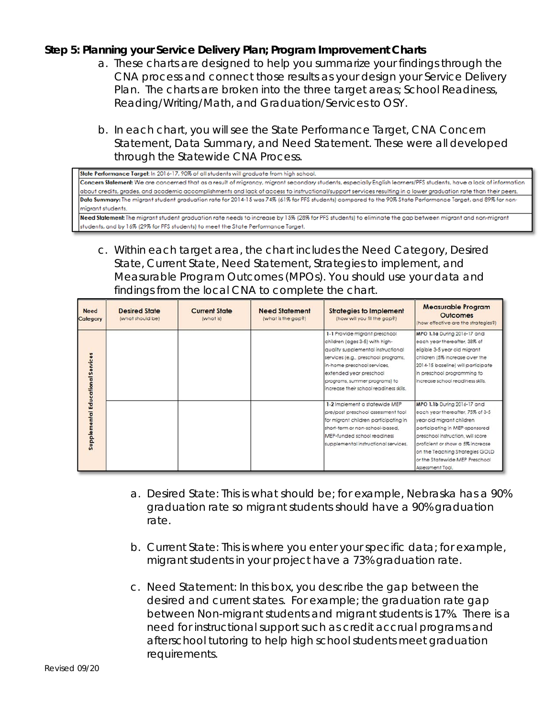#### **Step 5: Planning your Service Delivery Plan; Program Improvement Charts**

- a. These charts are designed to help you summarize your findings through the CNA process and connect those results as your design your Service Delivery Plan. The charts are broken into the three target areas; School Readiness, Reading/Writing/Math, and Graduation/Services to OSY.
- b. In each chart, you will see the State Performance Target, CNA Concern Statement, Data Summary, and Need Statement. These were all developed through the Statewide CNA Process.

State Performance Target: In 2016-17, 90% of all students will graduate from high school. Concern Statement: We are concerned that as a result of migrancy, migrant secondary students, especially English learners/PFS students, have a lack of information about credits, grades, and academic accomplishments and lack of access to instructional/support services resulting in a lower graduation rate than their peers. Data Summary: The migrant student graduation rate for 2014-15 was 74% (61% for PFS students) compared to the 90% State Performance Target, and 89% for nonmiarant students.

Need Statement: The migrant student graduation rate needs to increase by 15% (28% for PFS students) to eliminate the gap between migrant and non-migrant students, and by 16% (29% for PFS students) to meet the State Performance Target.

c. Within each target area, the chart includes the Need Category, Desired State, Current State, Need Statement, Strategies to implement, and Measurable Program Outcomes (MPOs). You should use your data and findings from the local CNA to complete the chart.

| <b>Need</b><br>Category                  | <b>Desired State</b><br>(what should be) | <b>Current State</b><br>(what is) | <b>Need Statement</b><br>(what is the gap?) | <b>Strategies to Implement</b><br>(how will you fill the gap?)                                                                                                                                                                                                                     | <b>Measurable Program</b><br><b>Outcomes</b><br>(how effective are the strategies?)                                                                                                                                                                                                              |
|------------------------------------------|------------------------------------------|-----------------------------------|---------------------------------------------|------------------------------------------------------------------------------------------------------------------------------------------------------------------------------------------------------------------------------------------------------------------------------------|--------------------------------------------------------------------------------------------------------------------------------------------------------------------------------------------------------------------------------------------------------------------------------------------------|
|                                          |                                          |                                   |                                             | 1-1 Provide migrant preschool<br>children (ages 3-5) with high-<br>quality supplemental instructional<br>services (e.g., preschool programs,<br>in-home preschool services,<br>extended year preschool<br>programs, summer programs) to<br>increase their school readiness skills. | MPO 1.1a During 2016-17 and<br>each year thereafter, 38% of<br>eligible 3-5 year old migrant<br>children (5% increase over the<br>2014-15 baseline) will participate<br>in preschool programming to<br>increase school readiness skills.                                                         |
| <b>Supplemental Educational Services</b> |                                          |                                   |                                             | 1-2 Implement a statewide MEP<br>pre/post preschool assessment tool.<br>for migrant children participating in<br>short-term or non-school-based.<br>MEP-funded school readiness<br>supplemental instructional services.                                                            | MPO 1.1b During 2016-17 and<br>each year thereafter, 75% of 3-5<br>year old migrant children<br>participating in MEP-sponsored<br>preschool instruction, will score<br>proficient or show a 5% increase<br>on the Teaching Strategies GOLD<br>or the Statewide MEP Preschool<br>Assessment Tool, |

- a. Desired State: This is what *should* be; for example, Nebraska has a 90% graduation rate so migrant students *should* have a 90% graduation rate.
- b. Current State: This is where you enter your specific data; for example, migrant students in your project have a 73% graduation rate.
- c. Need Statement: In this box, you describe the gap between the desired and current states. For example; the graduation rate gap between Non-migrant students and migrant students is 17%. There is a need for instructional support such as credit accrual programs and afterschool tutoring to help high school students meet graduation requirements.